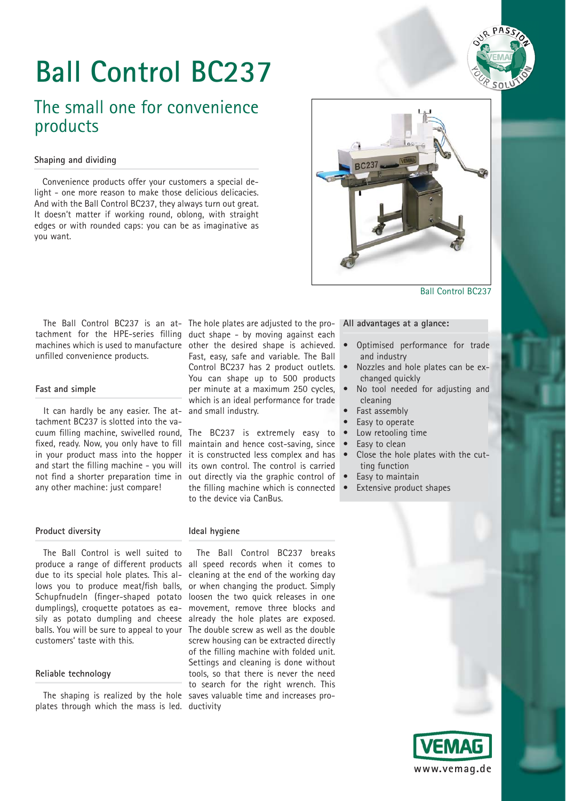

# **Ball Control BC237**

## The small one for convenience products

## **Shaping and dividing**

Convenience products offer your customers a special delight - one more reason to make those delicious delicacies. And with the Ball Control BC237, they always turn out great. It doesn't matter if working round, oblong, with straight edges or with rounded caps: you can be as imaginative as you want.



Ball Control BC237

## The Ball Control BC237 is an at- The hole plates are adjusted to the protachment for the HPE-series filling duct shape - by moving against each machines which is used to manufacture other the desired shape is achieved. unfilled convenience products.

## **Fast and simple**

It can hardly be any easier. The attachment BC237 is slotted into the vafixed, ready. Now, you only have to fill in your product mass into the hopper and start the filling machine - you will not find a shorter preparation time in any other machine: just compare!

## Fast, easy, safe and variable. The Ball Control BC237 has 2 product outlets. You can shape up to 500 products per minute at a maximum 250 cycles, which is an ideal performance for trade and small industry.

cuum filling machine, swivelled round, The BC237 is extremely easy to maintain and hence cost-saving, since it is constructed less complex and has its own control. The control is carried out directly via the graphic control of the filling machine which is connected to the device via CanBus.

## **All advantages at a glance:**

- Optimised performance for trade and industry
- Nozzles and hole plates can be exchanged quickly
- No tool needed for adjusting and cleaning
- Fast assembly
- Easy to operate
	- Low retooling time
- Easy to clean<br>• Close the hol
- Close the hole plates with the cutting function
- Easy to maintain
- Extensive product shapes

## **Product diversity**

The Ball Control is well suited to due to its special hole plates. This allows you to produce meat/fish balls, dumplings), croquette potatoes as easily as potato dumpling and cheese balls. You will be sure to appeal to your customers' taste with this.

## **Reliable technology**

plates through which the mass is led. ductivity

## **Ideal hygiene**

produce a range of different products all speed records when it comes to Schupfnudeln (finger-shaped potato loosen the two quick releases in one The shaping is realized by the hole saves valuable time and increases pro-The Ball Control BC237 breaks cleaning at the end of the working day or when changing the product. Simply movement, remove three blocks and already the hole plates are exposed. The double screw as well as the double screw housing can be extracted directly of the filling machine with folded unit. Settings and cleaning is done without tools, so that there is never the need to search for the right wrench. This